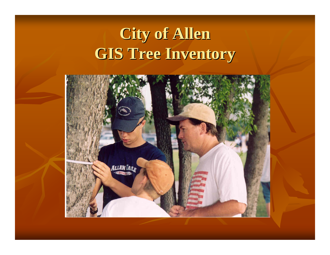## **City of Allen GIS Tree Inventory**

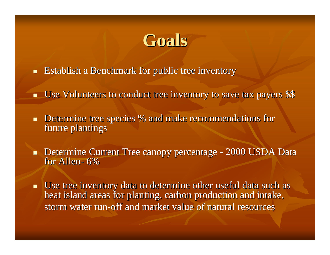## **Goals**

- **Establish a Benchmark for public tree inventory**
- Use Volunteers to conduct tree inventory to save tax payers \$\$ Use Volunteers to conduct tree inventory to save tax payers \$\$
- $\blacksquare$ Determine tree species % and make recommendations for future plantings
- $\blacksquare$ Determine Current Tree canopy percentage - 2000 USDA Data for Allen- 6%
- $\blacksquare$  Use tree inventory data to determine other useful data such as heat island areas for planting, carbon production and intake, storm water run-off and market value of natural resources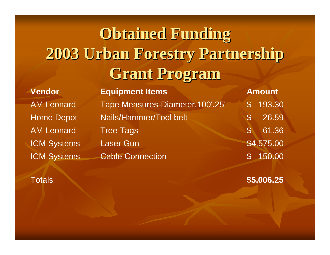# **Obtained Funding Obtained Funding 2003 Urban Forestry Partnership 2003 Urban Forestry Partnership Grant Program Grant Program**

AM LeonardAM Leonard**Vendor**

ICM Systems Cable Connection 5 450.00 ICM Systems Laser Gun **\$4,575.00** Tree Tags and the state of the state of the state of the state of the state of the state of the state of the state of the state of the state of the state of the state of the state of the state of the state of the state of Home Depot Nails/Hammer/Tool belt \$ 26.59 Tape Measures-Diameter,100',25' \$ 193.30 **Equipment Items <b>Amount Amount** 

#### **Totals**

**\$5,006.25**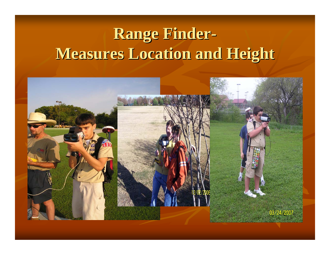## **Range Finder-Measures Location and Height Measures Location and Height**

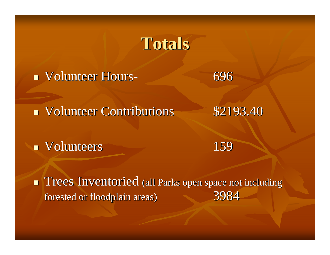### **Totals**

Volunteer Hours- 696

Volunteer Contributions 52193.40

**Volunteers** 

159

**Trees Inventoried** (all Parks open space not including forested or floodplain areas) forested or floodplain areas) 3984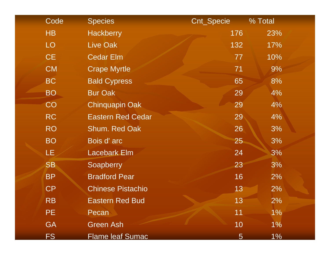| Code            | <b>Species</b>           | Cnt_Specie | % Total |
|-----------------|--------------------------|------------|---------|
| HB              | <b>Hackberry</b>         | 176        | 23%     |
| LO              | Live Oak                 | 132        | 17%     |
| CE              | <b>Cedar Elm</b>         | 77         | 10%     |
| <b>CM</b>       | <b>Crape Myrtle</b>      | 71         | 9%      |
| <b>BC</b>       | <b>Bald Cypress</b>      | 65         | 8%      |
| BO <sub>1</sub> | <b>Bur Oak</b>           | 29         | 4%      |
| CO              | <b>Chinquapin Oak</b>    | 29         | 4%      |
| <b>RC</b>       | <b>Eastern Red Cedar</b> | 29         | 4%      |
| <b>RO</b>       | Shum. Red Oak            | 26         | 3%      |
| <b>BO</b>       | Bois d'arc               | 25         | 3%      |
| LE.             | <b>Lacebark Elm</b>      | 24         | 3%      |
| <b>SB</b>       | Soapberry                | 23         | 3%      |
| <b>BP</b>       | <b>Bradford Pear</b>     | 16         | 2%      |
| <b>CP</b>       | <b>Chinese Pistachio</b> | 13         | 2%      |
| <b>RB</b>       | Eastern Red Bud          | 13         | 2%      |
| PE.             | Pecan                    | 11         | 1%      |
| <b>GA</b>       | <b>Green Ash</b>         | 10         | $1\%$   |
| <b>FS</b>       | <b>Flame leaf Sumac</b>  | 5          | $1\%$   |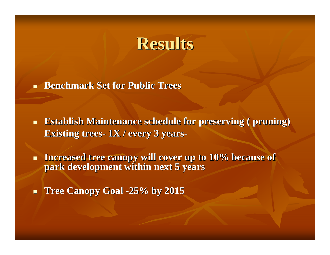#### **Results Results**

П **Benchmark Set for Public Trees** 

 $\blacksquare$ **Establish Maintenance schedule for preserving ( pruning) Existing trees- 1X** / every 3 years-

 $\blacksquare$ Increased tree canopy will cover up to 10% because of **park development within next 5 years park development within next 5 years**

 $\blacksquare$ **Tree Canopy Goal -25% by 2015**